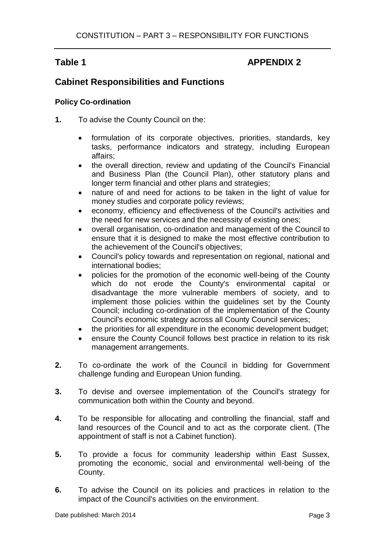# Table 1 **APPENDIX 2**

# **Cabinet Responsibilities and Functions**

# **Policy Co-ordination**

- **1.** To advise the County Council on the:
	- formulation of its corporate objectives, priorities, standards, key tasks, performance indicators and strategy, including European affairs;
	- the overall direction, review and updating of the Council's Financial and Business Plan (the Council Plan), other statutory plans and longer term financial and other plans and strategies;
	- nature of and need for actions to be taken in the light of value for money studies and corporate policy reviews;
	- economy, efficiency and effectiveness of the Council's activities and the need for new services and the necessity of existing ones;
	- overall organisation, co-ordination and management of the Council to ensure that it is designed to make the most effective contribution to the achievement of the Council's objectives;
	- Council's policy towards and representation on regional, national and international bodies;
	- policies for the promotion of the economic well-being of the County which do not erode the County's environmental capital or disadvantage the more vulnerable members of society, and to implement those policies within the guidelines set by the County Council; including co-ordination of the implementation of the County Council's economic strategy across all County Council services;
	- the priorities for all expenditure in the economic development budget;
	- ensure the County Council follows best practice in relation to its risk management arrangements.
- **2.** To co-ordinate the work of the Council in bidding for Government challenge funding and European Union funding.
- **3.** To devise and oversee implementation of the Council's strategy for communication both within the County and beyond.
- **4.** To be responsible for allocating and controlling the financial, staff and land resources of the Council and to act as the corporate client. (The appointment of staff is not a Cabinet function).
- **5.** To provide a focus for community leadership within East Sussex, promoting the economic, social and environmental well-being of the County.
- **6.** To advise the Council on its policies and practices in relation to the impact of the Council's activities on the environment.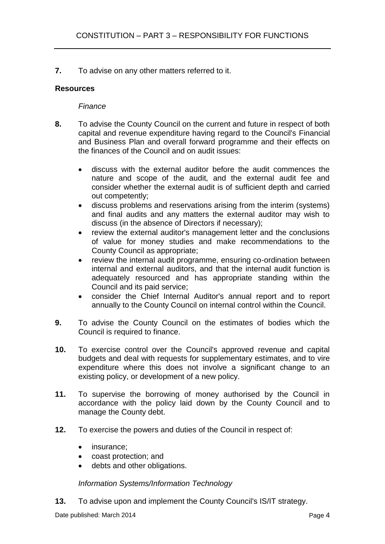**7.** To advise on any other matters referred to it.

# **Resources**

## *Finance*

- **8.** To advise the County Council on the current and future in respect of both capital and revenue expenditure having regard to the Council's Financial and Business Plan and overall forward programme and their effects on the finances of the Council and on audit issues:
	- discuss with the external auditor before the audit commences the nature and scope of the audit, and the external audit fee and consider whether the external audit is of sufficient depth and carried out competently;
	- discuss problems and reservations arising from the interim (systems) and final audits and any matters the external auditor may wish to discuss (in the absence of Directors if necessary);
	- review the external auditor's management letter and the conclusions of value for money studies and make recommendations to the County Council as appropriate;
	- review the internal audit programme, ensuring co-ordination between internal and external auditors, and that the internal audit function is adequately resourced and has appropriate standing within the Council and its paid service;
	- consider the Chief Internal Auditor's annual report and to report annually to the County Council on internal control within the Council.
- **9.** To advise the County Council on the estimates of bodies which the Council is required to finance.
- **10.** To exercise control over the Council's approved revenue and capital budgets and deal with requests for supplementary estimates, and to vire expenditure where this does not involve a significant change to an existing policy, or development of a new policy.
- **11.** To supervise the borrowing of money authorised by the Council in accordance with the policy laid down by the County Council and to manage the County debt.
- **12.** To exercise the powers and duties of the Council in respect of:
	- insurance;
	- coast protection; and
	- debts and other obligations.

#### *Information Systems/Information Technology*

**13.** To advise upon and implement the County Council's IS/IT strategy.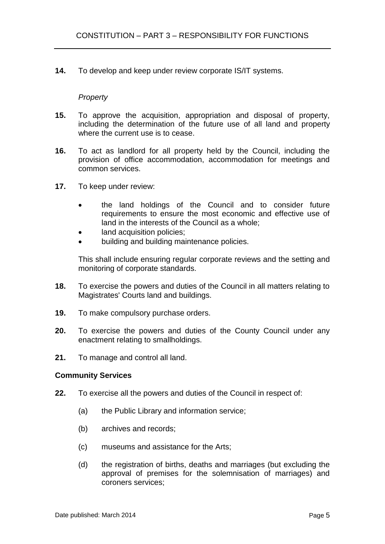**14.** To develop and keep under review corporate IS/IT systems.

### *Property*

- **15.** To approve the acquisition, appropriation and disposal of property, including the determination of the future use of all land and property where the current use is to cease.
- **16.** To act as landlord for all property held by the Council, including the provision of office accommodation, accommodation for meetings and common services.
- **17.** To keep under review:
	- the land holdings of the Council and to consider future requirements to ensure the most economic and effective use of land in the interests of the Council as a whole;
	- land acquisition policies;
	- building and building maintenance policies.

This shall include ensuring regular corporate reviews and the setting and monitoring of corporate standards.

- **18.** To exercise the powers and duties of the Council in all matters relating to Magistrates' Courts land and buildings.
- **19.** To make compulsory purchase orders.
- **20.** To exercise the powers and duties of the County Council under any enactment relating to smallholdings.
- **21.** To manage and control all land.

#### **Community Services**

- **22.** To exercise all the powers and duties of the Council in respect of:
	- (a) the Public Library and information service;
	- (b) archives and records;
	- (c) museums and assistance for the Arts;
	- (d) the registration of births, deaths and marriages (but excluding the approval of premises for the solemnisation of marriages) and coroners services;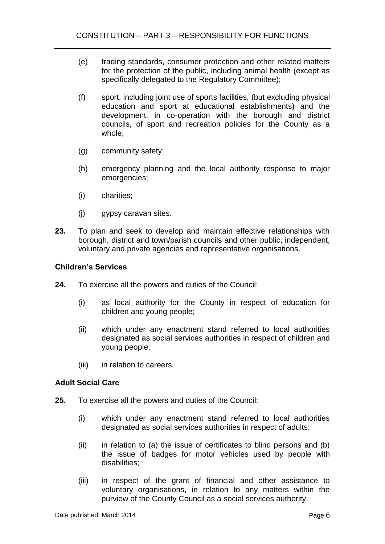- (e) trading standards, consumer protection and other related matters for the protection of the public, including animal health (except as specifically delegated to the Regulatory Committee);
- (f) sport, including joint use of sports facilities, (but excluding physical education and sport at educational establishments) and the development, in co-operation with the borough and district councils, of sport and recreation policies for the County as a whole;
- (g) community safety;
- (h) emergency planning and the local authority response to major emergencies;
- (i) charities;
- (j) gypsy caravan sites.
- **23.** To plan and seek to develop and maintain effective relationships with borough, district and town/parish councils and other public, independent, voluntary and private agencies and representative organisations.

#### **Children's Services**

- **24.** To exercise all the powers and duties of the Council:
	- (i) as local authority for the County in respect of education for children and young people;
	- (ii) which under any enactment stand referred to local authorities designated as social services authorities in respect of children and young people;
	- (iii) in relation to careers.

# **Adult Social Care**

- **25.** To exercise all the powers and duties of the Council:
	- (i) which under any enactment stand referred to local authorities designated as social services authorities in respect of adults;
	- (ii) in relation to (a) the issue of certificates to blind persons and (b) the issue of badges for motor vehicles used by people with disabilities;
	- (iii) in respect of the grant of financial and other assistance to voluntary organisations, in relation to any matters within the purview of the County Council as a social services authority.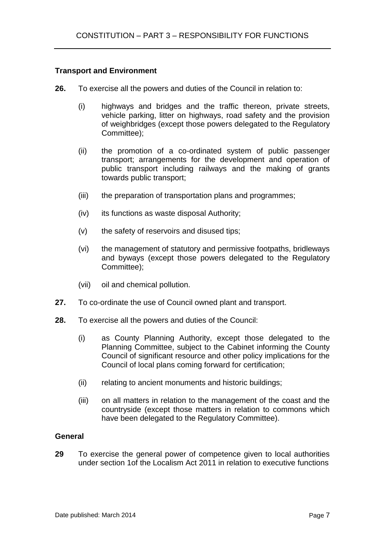## **Transport and Environment**

- **26.** To exercise all the powers and duties of the Council in relation to:
	- (i) highways and bridges and the traffic thereon, private streets, vehicle parking, litter on highways, road safety and the provision of weighbridges (except those powers delegated to the Regulatory Committee);
	- (ii) the promotion of a co-ordinated system of public passenger transport; arrangements for the development and operation of public transport including railways and the making of grants towards public transport;
	- (iii) the preparation of transportation plans and programmes;
	- (iv) its functions as waste disposal Authority;
	- (v) the safety of reservoirs and disused tips;
	- (vi) the management of statutory and permissive footpaths, bridleways and byways (except those powers delegated to the Regulatory Committee);
	- (vii) oil and chemical pollution.
- **27.** To co-ordinate the use of Council owned plant and transport.
- **28.** To exercise all the powers and duties of the Council:
	- (i) as County Planning Authority, except those delegated to the Planning Committee, subject to the Cabinet informing the County Council of significant resource and other policy implications for the Council of local plans coming forward for certification;
	- (ii) relating to ancient monuments and historic buildings;
	- (iii) on all matters in relation to the management of the coast and the countryside (except those matters in relation to commons which have been delegated to the Regulatory Committee).

#### **General**

**29** To exercise the general power of competence given to local authorities under section 1of the Localism Act 2011 in relation to executive functions